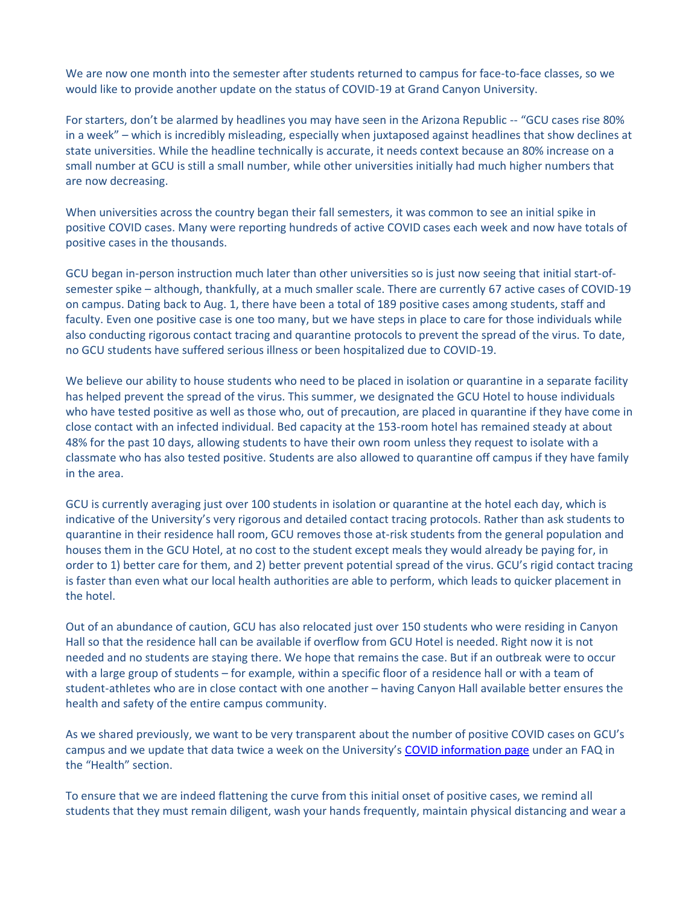We are now one month into the semester after students returned to campus for face-to-face classes, so we would like to provide another update on the status of COVID-19 at Grand Canyon University.

For starters, don't be alarmed by headlines you may have seen in the Arizona Republic -- "GCU cases rise 80% in a week" – which is incredibly misleading, especially when juxtaposed against headlines that show declines at state universities. While the headline technically is accurate, it needs context because an 80% increase on a small number at GCU is still a small number, while other universities initially had much higher numbers that are now decreasing.

When universities across the country began their fall semesters, it was common to see an initial spike in positive COVID cases. Many were reporting hundreds of active COVID cases each week and now have totals of positive cases in the thousands.

GCU began in-person instruction much later than other universities so is just now seeing that initial start-ofsemester spike – although, thankfully, at a much smaller scale. There are currently 67 active cases of COVID-19 on campus. Dating back to Aug. 1, there have been a total of 189 positive cases among students, staff and faculty. Even one positive case is one too many, but we have steps in place to care for those individuals while also conducting rigorous contact tracing and quarantine protocols to prevent the spread of the virus. To date, no GCU students have suffered serious illness or been hospitalized due to COVID-19.

We believe our ability to house students who need to be placed in isolation or quarantine in a separate facility has helped prevent the spread of the virus. This summer, we designated the GCU Hotel to house individuals who have tested positive as well as those who, out of precaution, are placed in quarantine if they have come in close contact with an infected individual. Bed capacity at the 153-room hotel has remained steady at about 48% for the past 10 days, allowing students to have their own room unless they request to isolate with a classmate who has also tested positive. Students are also allowed to quarantine off campus if they have family in the area.

GCU is currently averaging just over 100 students in isolation or quarantine at the hotel each day, which is indicative of the University's very rigorous and detailed contact tracing protocols. Rather than ask students to quarantine in their residence hall room, GCU removes those at-risk students from the general population and houses them in the GCU Hotel, at no cost to the student except meals they would already be paying for, in order to 1) better care for them, and 2) better prevent potential spread of the virus. GCU's rigid contact tracing is faster than even what our local health authorities are able to perform, which leads to quicker placement in the hotel.

Out of an abundance of caution, GCU has also relocated just over 150 students who were residing in Canyon Hall so that the residence hall can be available if overflow from GCU Hotel is needed. Right now it is not needed and no students are staying there. We hope that remains the case. But if an outbreak were to occur with a large group of students – for example, within a specific floor of a residence hall or with a team of student-athletes who are in close contact with one another – having Canyon Hall available better ensures the health and safety of the entire campus community.

As we shared previously, we want to be very transparent about the number of positive COVID cases on GCU's campus and we update that data twice a week on the University's [COVID information page](https://www.gcu.edu/coronavirus-disease-2019-information) under an FAQ in the "Health" section.

To ensure that we are indeed flattening the curve from this initial onset of positive cases, we remind all students that they must remain diligent, wash your hands frequently, maintain physical distancing and wear a